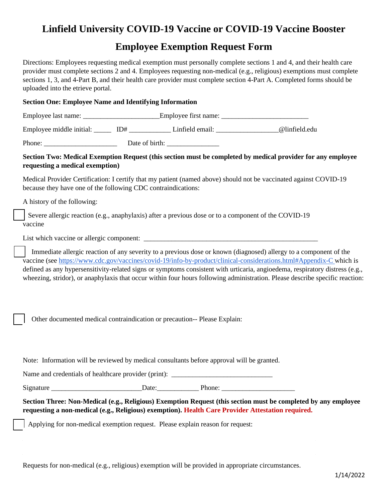## **Linfield University COVID-19 Vaccine or COVID-19 Vaccine Booster**

## **Employee Exemption Request Form**

Directions: Employees requesting medical exemption must personally complete sections 1 and 4, and their health care provider must complete sections 2 and 4. Employees requesting non-medical (e.g., religious) exemptions must complete sections 1, 3, and 4-Part B, and their health care provider must complete section 4-Part A. Completed forms should be uploaded into the etrieve portal.

# **Section One: Employee Name and Identifying Information**

| Employee last name: | Employee first name: |  |
|---------------------|----------------------|--|
|                     |                      |  |

Employee middle initial:  $ID#$  Linfield email:  $Q$ linfield.edu

Phone: \_\_\_\_\_\_\_\_\_\_\_\_\_\_\_\_\_\_\_\_\_ Date of birth: \_\_\_\_\_\_\_\_\_\_\_\_\_\_\_

### **Section Two: Medical Exemption Request (this section must be completed by medical provider for any employee requesting a medical exemption)**

Medical Provider Certification: I certify that my patient (named above) should not be vaccinated against COVID-19 because they have one of the following CDC contraindications:

A history of the following:

Severe allergic reaction (e.g., anaphylaxis) after a previous dose or to a component of the COVID-19 vaccine

List which vaccine or allergic component:

Immediate allergic reaction of any severity to a previous dose or known (diagnosed) allergy to a component of the vaccine (see<https://www.cdc.gov/vaccines/covid-19/info-by-product/clinical-considerations.html#Appendix-C> which is defined as any hypersensitivity-related signs or symptoms consistent with urticaria, angioedema, respiratory distress (e.g., wheezing, stridor), or anaphylaxis that occur within four hours following administration. Please describe specific reaction:

⃞ Other documented medical contraindication or precaution-- Please Explain:

Note: Information will be reviewed by medical consultants before approval will be granted.

Name and credentials of healthcare provider (print):

Signature \_\_\_\_\_\_\_\_\_\_\_\_\_\_\_\_\_\_\_\_\_\_\_\_\_\_Date:\_\_\_\_\_\_\_\_\_\_\_\_ Phone: \_\_\_\_\_\_\_\_\_\_\_\_\_\_\_\_\_\_\_\_\_

**Section Three: Non-Medical (e.g., Religious) Exemption Request (this section must be completed by any employee requesting a non-medical (e.g., Religious) exemption). Health Care Provider Attestation required.**

Applying for non-medical exemption request. Please explain reason for request:

Requests for non-medical (e.g., religious) exemption will be provided in appropriate circumstances.